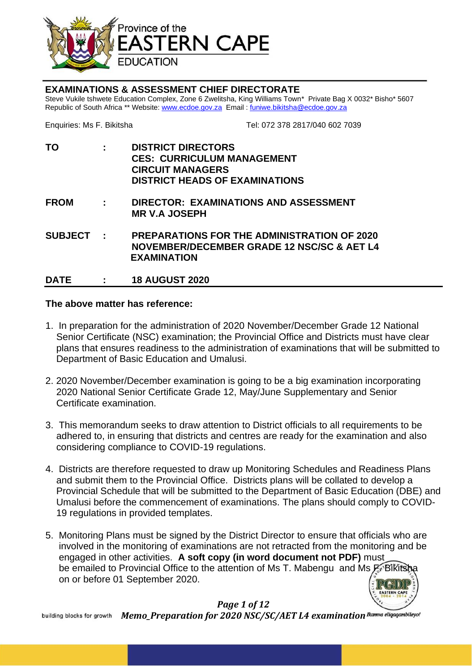

#### **EXAMINATIONS & ASSESSMENT CHIEF DIRECTORATE**

Steve Vukile tshwete Education Complex, Zone 6 Zwelitsha, King Williams Town\* Private Bag X 0032\* Bisho\* 5607 Republic of South Africa \*\* Website[: www.ecdoe.gov.za](http://www.ecdoe.gov.za/) Email: [funiwe.bikitsha@ecdoe.gov.za](mailto:funiwe.bikitsha@ecdoe.gov.za)

Enquiries: Ms F. Bikitsha Tel: 072 378 2817/040 602 7039

**TO : DISTRICT DIRECTORS CES: CURRICULUM MANAGEMENT CIRCUIT MANAGERS DISTRICT HEADS OF EXAMINATIONS FROM : DIRECTOR: EXAMINATIONS AND ASSESSMENT MR V.A JOSEPH**

**SUBJECT : PREPARATIONS FOR THE ADMINISTRATION OF 2020 NOVEMBER/DECEMBER GRADE 12 NSC/SC & AET L4 EXAMINATION**

**DATE : 18 AUGUST 2020**

#### **The above matter has reference:**

- 1. In preparation for the administration of 2020 November/December Grade 12 National Senior Certificate (NSC) examination; the Provincial Office and Districts must have clear plans that ensures readiness to the administration of examinations that will be submitted to Department of Basic Education and Umalusi.
- 2. 2020 November/December examination is going to be a big examination incorporating 2020 National Senior Certificate Grade 12, May/June Supplementary and Senior Certificate examination.
- 3. This memorandum seeks to draw attention to District officials to all requirements to be adhered to, in ensuring that districts and centres are ready for the examination and also considering compliance to COVID-19 regulations.
- 4. Districts are therefore requested to draw up Monitoring Schedules and Readiness Plans and submit them to the Provincial Office. Districts plans will be collated to develop a Provincial Schedule that will be submitted to the Department of Basic Education (DBE) and Umalusi before the commencement of examinations. The plans should comply to COVID-19 regulations in provided templates.
- 5. Monitoring Plans must be signed by the District Director to ensure that officials who are involved in the monitoring of examinations are not retracted from the monitoring and be engaged in other activities. **A soft copy (in word document not PDF)** must be emailed to Provincial Office to the attention of Ms T. Mabengu and Ms  $F$ . Bikits on or before 01 September 2020.

### *Page 1 of 12*

building blocks for growth Memo\_Preparation for 2020 NSC/SC/AET L4 examination<sup>Ikamva eliqaqambileyo!</sup>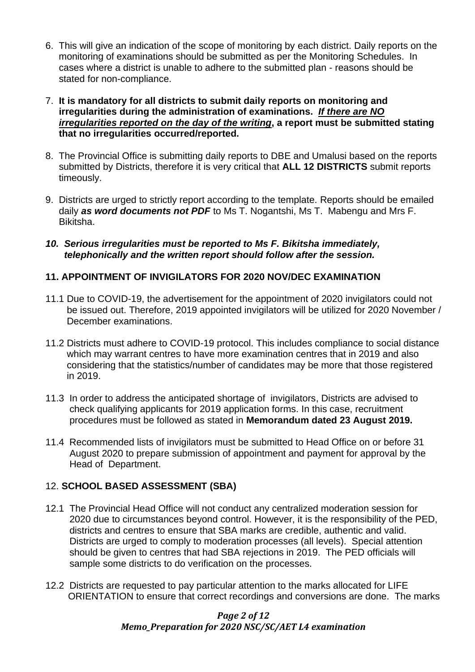- 6. This will give an indication of the scope of monitoring by each district. Daily reports on the monitoring of examinations should be submitted as per the Monitoring Schedules. In cases where a district is unable to adhere to the submitted plan - reasons should be stated for non-compliance.
- 7. **It is mandatory for all districts to submit daily reports on monitoring and irregularities during the administration of examinations.** *If there are NO irregularities reported on the day of the writing***, a report must be submitted stating that no irregularities occurred/reported.**
- 8. The Provincial Office is submitting daily reports to DBE and Umalusi based on the reports submitted by Districts, therefore it is very critical that **ALL 12 DISTRICTS** submit reports timeously.
- 9. Districts are urged to strictly report according to the template. Reports should be emailed daily *as word documents not PDF* to Ms T. Nogantshi, Ms T. Mabengu and Mrs F. Bikitsha.
- *10. Serious irregularities must be reported to Ms F. Bikitsha immediately, telephonically and the written report should follow after the session.*

# **11. APPOINTMENT OF INVIGILATORS FOR 2020 NOV/DEC EXAMINATION**

- 11.1 Due to COVID-19, the advertisement for the appointment of 2020 invigilators could not be issued out. Therefore, 2019 appointed invigilators will be utilized for 2020 November / December examinations.
- 11.2 Districts must adhere to COVID-19 protocol. This includes compliance to social distance which may warrant centres to have more examination centres that in 2019 and also considering that the statistics/number of candidates may be more that those registered in 2019.
- 11.3 In order to address the anticipated shortage of invigilators, Districts are advised to check qualifying applicants for 2019 application forms. In this case, recruitment procedures must be followed as stated in **Memorandum dated 23 August 2019.**
- 11.4 Recommended lists of invigilators must be submitted to Head Office on or before 31 August 2020 to prepare submission of appointment and payment for approval by the Head of Department.

# 12. **SCHOOL BASED ASSESSMENT (SBA)**

- 12.1 The Provincial Head Office will not conduct any centralized moderation session for 2020 due to circumstances beyond control. However, it is the responsibility of the PED, districts and centres to ensure that SBA marks are credible, authentic and valid. Districts are urged to comply to moderation processes (all levels). Special attention should be given to centres that had SBA rejections in 2019. The PED officials will sample some districts to do verification on the processes.
- 12.2 Districts are requested to pay particular attention to the marks allocated for LIFE ORIENTATION to ensure that correct recordings and conversions are done. The marks

# *Page 2 of 12 Memo\_Preparation for 2020 NSC/SC/AET L4 examination*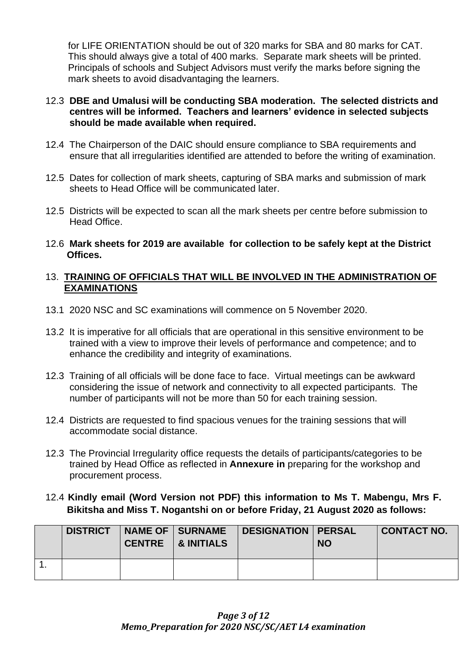for LIFE ORIENTATION should be out of 320 marks for SBA and 80 marks for CAT. This should always give a total of 400 marks. Separate mark sheets will be printed. Principals of schools and Subject Advisors must verify the marks before signing the mark sheets to avoid disadvantaging the learners.

## 12.3 **DBE and Umalusi will be conducting SBA moderation. The selected districts and centres will be informed. Teachers and learners' evidence in selected subjects should be made available when required.**

- 12.4 The Chairperson of the DAIC should ensure compliance to SBA requirements and ensure that all irregularities identified are attended to before the writing of examination.
- 12.5 Dates for collection of mark sheets, capturing of SBA marks and submission of mark sheets to Head Office will be communicated later.
- 12.5Districts will be expected to scan all the mark sheets per centre before submission to Head Office.
- 12.6 **Mark sheets for 2019 are available for collection to be safely kept at the District Offices.**

## 13. **TRAINING OF OFFICIALS THAT WILL BE INVOLVED IN THE ADMINISTRATION OF EXAMINATIONS**

- 13.1 2020 NSC and SC examinations will commence on 5 November 2020.
- 13.2 It is imperative for all officials that are operational in this sensitive environment to be trained with a view to improve their levels of performance and competence; and to enhance the credibility and integrity of examinations.
- 12.3 Training of all officials will be done face to face. Virtual meetings can be awkward considering the issue of network and connectivity to all expected participants. The number of participants will not be more than 50 for each training session.
- 12.4 Districts are requested to find spacious venues for the training sessions that will accommodate social distance.
- 12.3 The Provincial Irregularity office requests the details of participants/categories to be trained by Head Office as reflected in **Annexure in** preparing for the workshop and procurement process.

# 12.4 **Kindly email (Word Version not PDF) this information to Ms T. Mabengu, Mrs F. Bikitsha and Miss T. Nogantshi on or before Friday, 21 August 2020 as follows:**

| <b>DISTRICT</b> | CENTRE   & INITIALS | NAME OF SURNAME   DESIGNATION   PERSAL | <b>NO</b> | <b>CONTACT NO.</b> |
|-----------------|---------------------|----------------------------------------|-----------|--------------------|
|                 |                     |                                        |           |                    |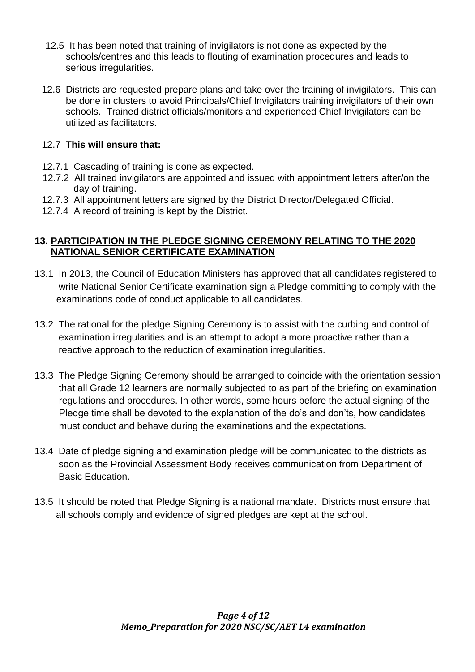- 12.5 It has been noted that training of invigilators is not done as expected by the schools/centres and this leads to flouting of examination procedures and leads to serious irregularities.
- 12.6 Districts are requested prepare plans and take over the training of invigilators. This can be done in clusters to avoid Principals/Chief Invigilators training invigilators of their own schools. Trained district officials/monitors and experienced Chief Invigilators can be utilized as facilitators.

# 12.7 **This will ensure that:**

- 12.7.1 Cascading of training is done as expected.
- 12.7.2 All trained invigilators are appointed and issued with appointment letters after/on the day of training.
- 12.7.3 All appointment letters are signed by the District Director/Delegated Official.
- 12.7.4 A record of training is kept by the District.

# **13. PARTICIPATION IN THE PLEDGE SIGNING CEREMONY RELATING TO THE 2020 NATIONAL SENIOR CERTIFICATE EXAMINATION**

- 13.1 In 2013, the Council of Education Ministers has approved that all candidates registered to write National Senior Certificate examination sign a Pledge committing to comply with the examinations code of conduct applicable to all candidates.
- 13.2 The rational for the pledge Signing Ceremony is to assist with the curbing and control of examination irregularities and is an attempt to adopt a more proactive rather than a reactive approach to the reduction of examination irregularities.
- 13.3 The Pledge Signing Ceremony should be arranged to coincide with the orientation session that all Grade 12 learners are normally subjected to as part of the briefing on examination regulations and procedures. In other words, some hours before the actual signing of the Pledge time shall be devoted to the explanation of the do's and don'ts, how candidates must conduct and behave during the examinations and the expectations.
- 13.4 Date of pledge signing and examination pledge will be communicated to the districts as soon as the Provincial Assessment Body receives communication from Department of Basic Education.
- 13.5 It should be noted that Pledge Signing is a national mandate. Districts must ensure that all schools comply and evidence of signed pledges are kept at the school.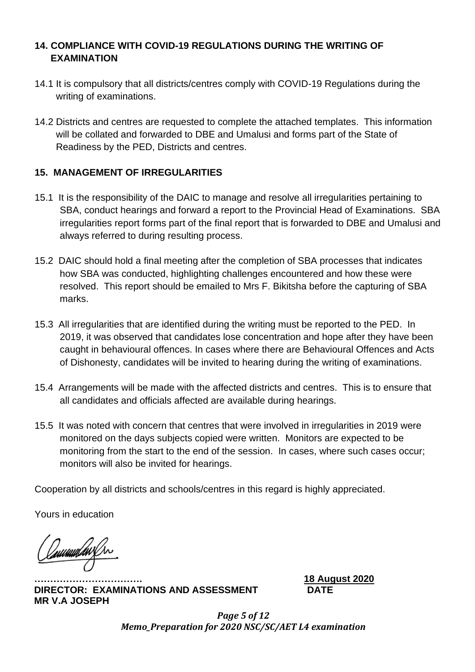# **14. COMPLIANCE WITH COVID-19 REGULATIONS DURING THE WRITING OF EXAMINATION**

- 14.1 It is compulsory that all districts/centres comply with COVID-19 Regulations during the writing of examinations.
- 14.2 Districts and centres are requested to complete the attached templates. This information will be collated and forwarded to DBE and Umalusi and forms part of the State of Readiness by the PED, Districts and centres.

# **15. MANAGEMENT OF IRREGULARITIES**

- 15.1 It is the responsibility of the DAIC to manage and resolve all irregularities pertaining to SBA, conduct hearings and forward a report to the Provincial Head of Examinations. SBA irregularities report forms part of the final report that is forwarded to DBE and Umalusi and always referred to during resulting process.
- 15.2 DAIC should hold a final meeting after the completion of SBA processes that indicates how SBA was conducted, highlighting challenges encountered and how these were resolved. This report should be emailed to Mrs F. Bikitsha before the capturing of SBA marks.
- 15.3 All irregularities that are identified during the writing must be reported to the PED. In 2019, it was observed that candidates lose concentration and hope after they have been caught in behavioural offences. In cases where there are Behavioural Offences and Acts of Dishonesty, candidates will be invited to hearing during the writing of examinations.
- 15.4 Arrangements will be made with the affected districts and centres. This is to ensure that all candidates and officials affected are available during hearings.
- 15.5 It was noted with concern that centres that were involved in irregularities in 2019 were monitored on the days subjects copied were written. Monitors are expected to be monitoring from the start to the end of the session. In cases, where such cases occur; monitors will also be invited for hearings.

Cooperation by all districts and schools/centres in this regard is highly appreciated.

Yours in education

uuuda

**DIRECTOR: EXAMINATIONS AND ASSESSMENT DATE MR V.A JOSEPH**

**……………………………. 18 August 2020**

*Page 5 of 12 Memo\_Preparation for 2020 NSC/SC/AET L4 examination*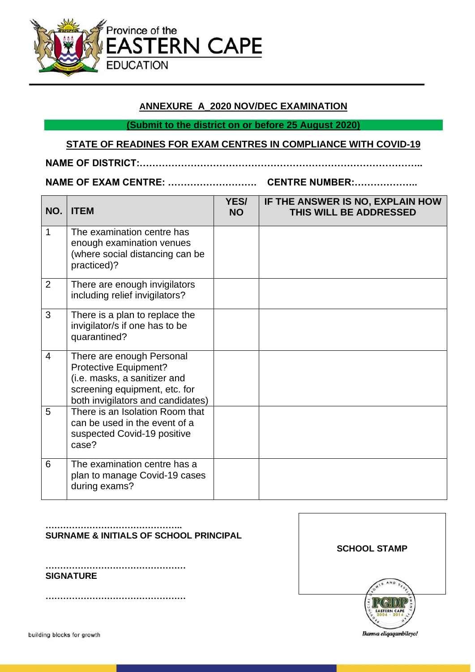

### **ANNEXURE A\_2020 NOV/DEC EXAMINATION**

**(Submit to the district on or before 25 August 2020)**

#### **STATE OF READINES FOR EXAM CENTRES IN COMPLIANCE WITH COVID-19**

# **NAME OF DISTRICT:……………………………………………………………………………..**

#### **NAME OF EXAM CENTRE: ………………………. CENTRE NUMBER:………………..**

**NO. ITEM YES/ NO IF THE ANSWER IS NO, EXPLAIN HOW THIS WILL BE ADDRESSED** 1 The examination centre has enough examination venues (where social distancing can be practiced)? 2 There are enough invigilators including relief invigilators? 3 There is a plan to replace the invigilator/s if one has to be quarantined? 4 There are enough Personal Protective Equipment? (i.e. masks, a sanitizer and screening equipment, etc. for both invigilators and candidates) 5 There is an Isolation Room that can be used in the event of a suspected Covid-19 positive case? 6 The examination centre has a plan to manage Covid-19 cases during exams?

### **SURNAME & INITIALS OF SCHOOL PRINCIPAL**

**………………………………………… SIGNATURE**

**…………………………………………**

**………………………………………..**

*Memo\_Preparation for 2020 NSC/SC/AET L4 examination* **SCHOOL STAMP**

building blocks for growth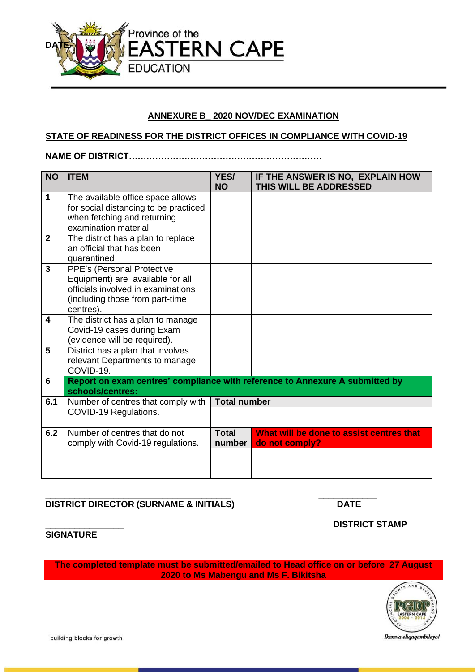

### **ANNEXURE B\_ 2020 NOV/DEC EXAMINATION**

#### **STATE OF READINESS FOR THE DISTRICT OFFICES IN COMPLIANCE WITH COVID-19**

**NAME OF DISTRICT…………………………………………………………**

| <b>NO</b>               | <b>ITEM</b>                                                                                                                                          | YES/<br><b>NO</b>      | IF THE ANSWER IS NO, EXPLAIN HOW<br>THIS WILL BE ADDRESSED                   |
|-------------------------|------------------------------------------------------------------------------------------------------------------------------------------------------|------------------------|------------------------------------------------------------------------------|
| $\mathbf 1$             | The available office space allows<br>for social distancing to be practiced<br>when fetching and returning<br>examination material.                   |                        |                                                                              |
| $\overline{2}$          | The district has a plan to replace<br>an official that has been<br>quarantined                                                                       |                        |                                                                              |
| 3                       | PPE's (Personal Protective<br>Equipment) are available for all<br>officials involved in examinations<br>(including those from part-time<br>centres). |                        |                                                                              |
| $\overline{\mathbf{4}}$ | The district has a plan to manage<br>Covid-19 cases during Exam<br>(evidence will be required).                                                      |                        |                                                                              |
| 5                       | District has a plan that involves<br>relevant Departments to manage<br>COVID-19.                                                                     |                        |                                                                              |
| 6                       | schools/centres:                                                                                                                                     |                        | Report on exam centres' compliance with reference to Annexure A submitted by |
| 6.1                     | Number of centres that comply with<br>COVID-19 Regulations.                                                                                          | <b>Total number</b>    |                                                                              |
| 6.2                     | Number of centres that do not<br>comply with Covid-19 regulations.                                                                                   | <b>Total</b><br>number | What will be done to assist centres that<br>do not comply?                   |
|                         |                                                                                                                                                      |                        |                                                                              |

#### **\_\_\_\_\_\_\_\_\_\_\_\_\_\_\_\_\_\_\_\_\_\_\_\_\_\_\_\_\_\_\_\_\_\_\_\_\_\_ \_\_\_\_\_\_\_\_\_\_\_\_ DISTRICT DIRECTOR (SURNAME & INITIALS) DATE**

**\_\_\_\_\_\_\_\_\_\_\_\_\_\_\_\_ DISTRICT STAMP**

#### **SIGNATURE**

**The completed template must be submitted/emailed to Head office on or before 27 August 2020 to Ms Mabengu and Ms F. Bikitsha**



building blocks for growth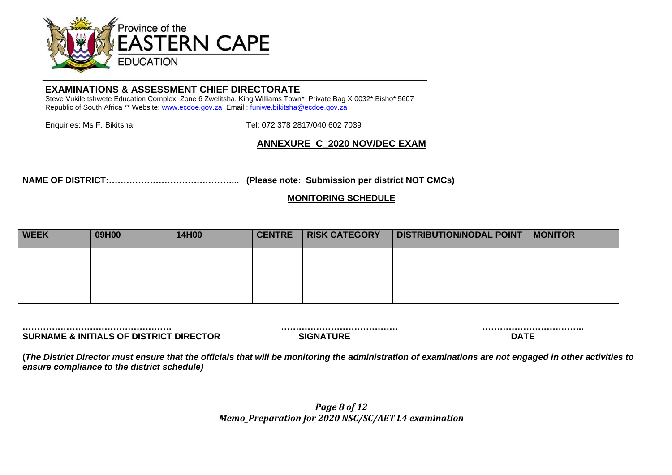

#### **EXAMINATIONS & ASSESSMENT CHIEF DIRECTORATE**

Steve Vukile tshwete Education Complex, Zone 6 Zwelitsha, King Williams Town\* Private Bag X 0032\* Bisho\* 5607 Republic of South Africa \*\* Website[: www.ecdoe.gov.za](http://www.ecdoe.gov.za/) Email : [funiwe.bikitsha@ecdoe.gov.za](mailto:funiwe.bikitsha@ecdoe.gov.za)

Enquiries: Ms F. Bikitsha Tel: 072 378 2817/040 602 7039

### **ANNEXURE C\_2020 NOV/DEC EXAM**

**NAME OF DISTRICT:……………………………………... (Please note: Submission per district NOT CMCs)**

#### **MONITORING SCHEDULE**

| <b>WEEK</b> | 09H00 | 14H00 | <b>CENTRE</b> | <b>RISK CATEGORY</b> | DISTRIBUTION/NODAL POINT   MONITOR |  |
|-------------|-------|-------|---------------|----------------------|------------------------------------|--|
|             |       |       |               |                      |                                    |  |
|             |       |       |               |                      |                                    |  |
|             |       |       |               |                      |                                    |  |

**SURNAME & INITIALS OF DISTRICT DIRECTOR SIGNATURE DATE**

**…………………………………………… …………………………………. ……………………………..**

**(***The District Director must ensure that the officials that will be monitoring the administration of examinations are not engaged in other activities to ensure compliance to the district schedule)*

> *Page 8 of 12 Memo\_Preparation for 2020 NSC/SC/AET L4 examination*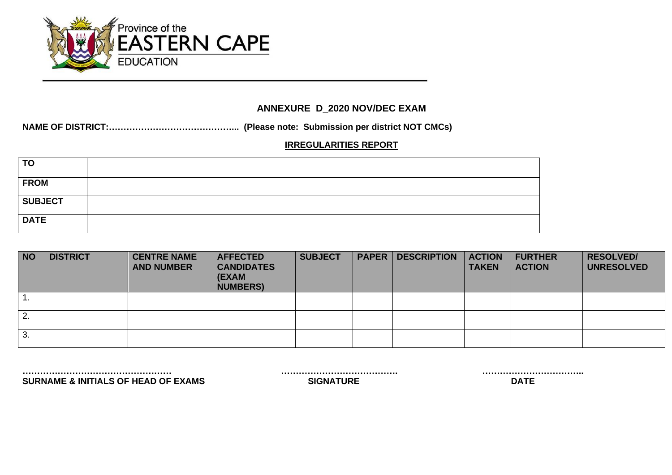

# **ANNEXURE D\_2020 NOV/DEC EXAM**

**NAME OF DISTRICT:……………………………………... (Please note: Submission per district NOT CMCs)**

## **IRREGULARITIES REPORT**

| <b>TO</b>      |  |
|----------------|--|
| <b>FROM</b>    |  |
| <b>SUBJECT</b> |  |
| <b>DATE</b>    |  |

| <b>NO</b> | <b>DISTRICT</b> | <b>CENTRE NAME</b><br><b>AND NUMBER</b> | <b>AFFECTED</b><br><b>CANDIDATES</b><br>(EXAM<br><b>NUMBERS)</b> | <b>SUBJECT</b> | <b>PAPER</b> | <b>DESCRIPTION</b> | <b>ACTION</b><br><b>TAKEN</b> | <b>FURTHER</b><br><b>ACTION</b> | <b>RESOLVED/</b><br><b>UNRESOLVED</b> |
|-----------|-----------------|-----------------------------------------|------------------------------------------------------------------|----------------|--------------|--------------------|-------------------------------|---------------------------------|---------------------------------------|
|           |                 |                                         |                                                                  |                |              |                    |                               |                                 |                                       |
| 2.        |                 |                                         |                                                                  |                |              |                    |                               |                                 |                                       |
| 3.        |                 |                                         |                                                                  |                |              |                    |                               |                                 |                                       |

**SURNAME & INITIALS OF HEAD OF EXAMS SIGNATURE SIGNATURE** 

**…………………………………………… …………………………………. ……………………………..**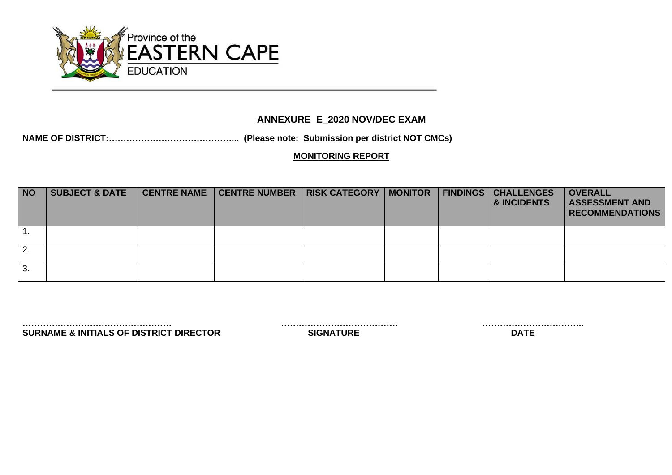

# **ANNEXURE E\_2020 NOV/DEC EXAM**

# **NAME OF DISTRICT:……………………………………... (Please note: Submission per district NOT CMCs)**

### **MONITORING REPORT**

| <b>NO</b> | <b>SUBJECT &amp; DATE</b> | <b>CENTRE NAME</b> | CENTRE NUMBER   RISK CATEGORY | <b>MONITOR</b> | <b>FINDINGS</b> | <b>CHALLENGES</b><br>& INCIDENTS | <b>OVERALL</b><br><b>ASSESSMENT AND</b><br><b>RECOMMENDATIONS</b> |
|-----------|---------------------------|--------------------|-------------------------------|----------------|-----------------|----------------------------------|-------------------------------------------------------------------|
|           |                           |                    |                               |                |                 |                                  |                                                                   |
|           |                           |                    |                               |                |                 |                                  |                                                                   |
| 3.        |                           |                    |                               |                |                 |                                  |                                                                   |

**…………………………………………… …………………………………. …………………………….. SURNAME & INITIALS OF DISTRICT DIRECTOR**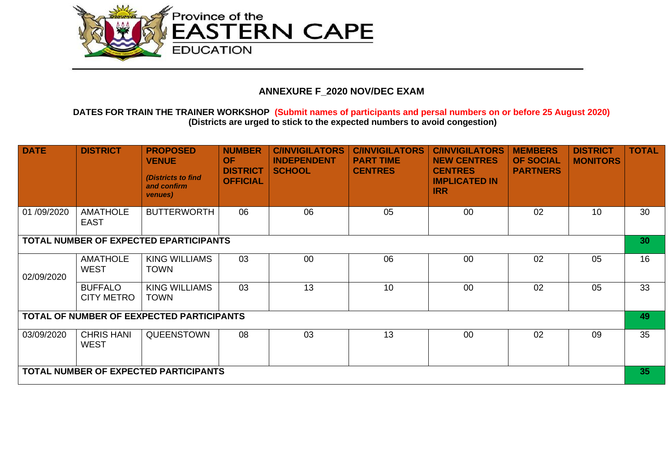

# **ANNEXURE F\_2020 NOV/DEC EXAM**

#### **DATES FOR TRAIN THE TRAINER WORKSHOP (Submit names of participants and persal numbers on or before 25 August 2020) (Districts are urged to stick to the expected numbers to avoid congestion)**

| <b>DATE</b> | <b>DISTRICT</b>                     | <b>PROPOSED</b><br><b>VENUE</b><br>(Districts to find<br>and confirm<br>venues) | <b>NUMBER</b><br><b>OF</b><br><b>DISTRICT</b><br><b>OFFICIAL</b> | <b>C/INVIGILATORS</b><br><b>INDEPENDENT</b><br><b>SCHOOL</b> | <b>C/INVIGILATORS</b><br><b>PART TIME</b><br><b>CENTRES</b> | <b>C/INVIGILATORS</b><br><b>NEW CENTRES</b><br><b>CENTRES</b><br><b>IMPLICATED IN</b><br><b>IRR</b> | <b>MEMBERS</b><br><b>OF SOCIAL</b><br><b>PARTNERS</b> | <b>DISTRICT</b><br><b>MONITORS</b> | <b>TOTAL</b>    |
|-------------|-------------------------------------|---------------------------------------------------------------------------------|------------------------------------------------------------------|--------------------------------------------------------------|-------------------------------------------------------------|-----------------------------------------------------------------------------------------------------|-------------------------------------------------------|------------------------------------|-----------------|
| 01/09/2020  | <b>AMATHOLE</b><br><b>EAST</b>      | <b>BUTTERWORTH</b>                                                              | 06                                                               | 06                                                           | 05                                                          | 00                                                                                                  | 02                                                    | 10                                 | 30              |
|             |                                     | TOTAL NUMBER OF EXPECTED EPARTICIPANTS                                          |                                                                  |                                                              |                                                             |                                                                                                     |                                                       |                                    | 30 <sub>1</sub> |
| 02/09/2020  | <b>AMATHOLE</b><br><b>WEST</b>      | KING WILLIAMS<br><b>TOWN</b>                                                    | 03                                                               | 00                                                           | 06                                                          | 00                                                                                                  | 02                                                    | 05                                 | 16              |
|             | <b>BUFFALO</b><br><b>CITY METRO</b> | <b>KING WILLIAMS</b><br><b>TOWN</b>                                             | 03                                                               | 13                                                           | 10                                                          | 00                                                                                                  | 02                                                    | 05                                 | 33              |
|             |                                     | TOTAL OF NUMBER OF EEXPECTED PARTICIPANTS                                       |                                                                  |                                                              |                                                             |                                                                                                     |                                                       |                                    | 49              |
| 03/09/2020  | <b>CHRIS HANI</b><br><b>WEST</b>    | QUEENSTOWN                                                                      | 08                                                               | 03                                                           | 13                                                          | $00\,$                                                                                              | 02                                                    | 09                                 | 35              |
|             |                                     | TOTAL NUMBER OF EXPECTED PARTICIPANTS                                           |                                                                  |                                                              |                                                             |                                                                                                     |                                                       |                                    | 35              |